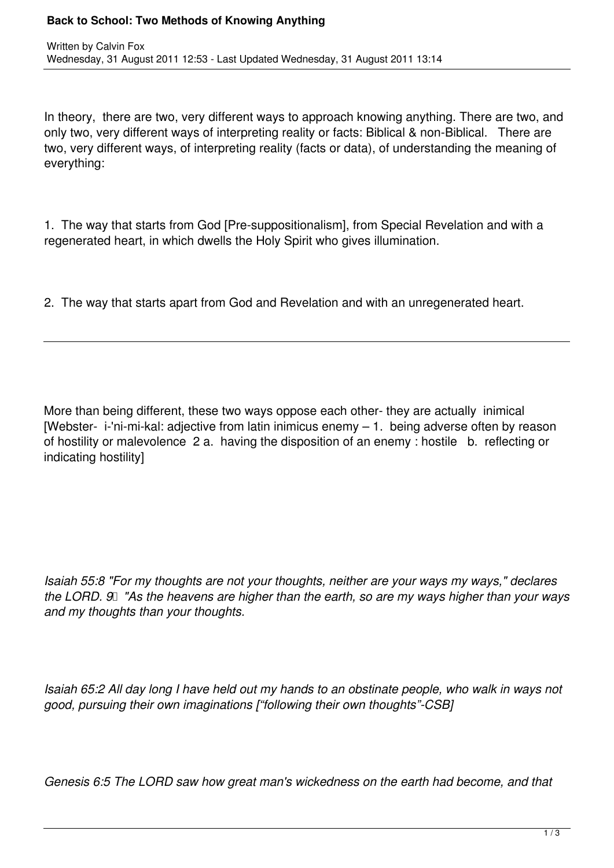In theory, there are two, very different ways to approach knowing anything. There are two, and only two, very different ways of interpreting reality or facts: Biblical & non-Biblical. There are two, very different ways, of interpreting reality (facts or data), of understanding the meaning of everything:

1. The way that starts from God [Pre-suppositionalism], from Special Revelation and with a regenerated heart, in which dwells the Holy Spirit who gives illumination.

2. The way that starts apart from God and Revelation and with an unregenerated heart.

More than being different, these two ways oppose each other- they are actually inimical [Webster- i-'ni-mi-kal: adjective from latin inimicus enemy – 1. being adverse often by reason of hostility or malevolence 2 a. having the disposition of an enemy : hostile b. reflecting or indicating hostility]

*Isaiah 55:8 "For my thoughts are not your thoughts, neither are your ways my ways," declares* the LORD. 9 TAs the heavens are higher than the earth, so are my ways higher than your ways *and my thoughts than your thoughts.*

*Isaiah 65:2 All day long I have held out my hands to an obstinate people, who walk in ways not good, pursuing their own imaginations ["following their own thoughts"-CSB]*

*Genesis 6:5 The LORD saw how great man's wickedness on the earth had become, and that*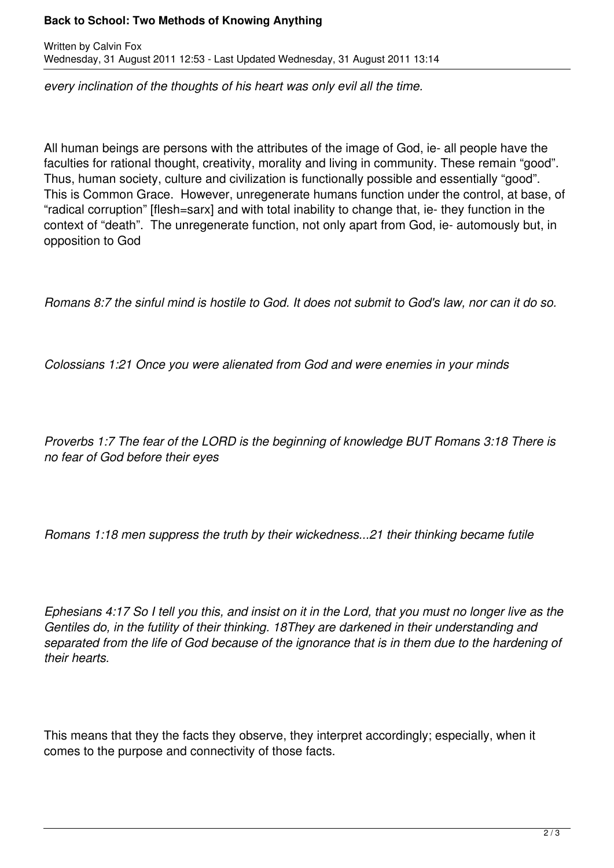## **Back to School: Two Methods of Knowing Anything**

Written by Calvin Fox Wednesday, 31 August 2011 12:53 - Last Updated Wednesday, 31 August 2011 13:14

*every inclination of the thoughts of his heart was only evil all the time.*

All human beings are persons with the attributes of the image of God, ie- all people have the faculties for rational thought, creativity, morality and living in community. These remain "good". Thus, human society, culture and civilization is functionally possible and essentially "good". This is Common Grace. However, unregenerate humans function under the control, at base, of "radical corruption" [flesh=sarx] and with total inability to change that, ie- they function in the context of "death". The unregenerate function, not only apart from God, ie- automously but, in opposition to God

*Romans 8:7 the sinful mind is hostile to God. It does not submit to God's law, nor can it do so.*

*Colossians 1:21 Once you were alienated from God and were enemies in your minds* 

*Proverbs 1:7 The fear of the LORD is the beginning of knowledge BUT Romans 3:18 There is no fear of God before their eyes*

*Romans 1:18 men suppress the truth by their wickedness...21 their thinking became futile* 

*Ephesians 4:17 So I tell you this, and insist on it in the Lord, that you must no longer live as the Gentiles do, in the futility of their thinking. 18They are darkened in their understanding and separated from the life of God because of the ignorance that is in them due to the hardening of their hearts.*

This means that they the facts they observe, they interpret accordingly; especially, when it comes to the purpose and connectivity of those facts.